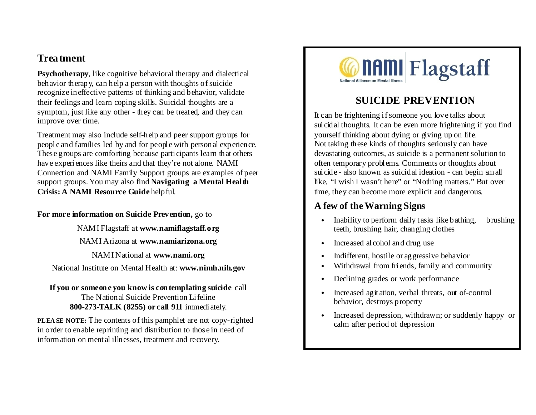#### **Treatment**

**Psychotherapy**, like cognitive behavioral therapy and dialectical behavior therapy, can help a person with thoughts of suicide recognize ineffective patterns of thinking and behavior, validate their feelings and learn coping skills. Suicidal thoughts are a symptom, just like any other - they can be treated, and they can improve over time.

Treatment may also include self-help and peer support groups for people and families led by and for people with personal experience. These groups are comforting because participants learn that others have experiences like theirs and that they're not alone. NAMI Connection and NAMI Family Support groups are examples of peer support groups. You may also find **Navigating a Mental Health Crisis: A NAMI Resource Guide** helpful.

#### **For more information on Suicide Prevention,** go to

NAMI Flagstaff at **www.namiflagstaff.org**

NAMI Arizona at **www.namiarizona.org**

NAMI National at **www.nami.org**

National Institute on Mental Health at: **www.nimh.nih.gov**

**If you or someon e you know is con templating suicide** call The National Suicide Prevention Lifeline **800-273-TALK (8255) or call 911** immediately.

**PLEA SE NOTE:** The contents of this pamphlet are not copy-righted in order to enable reprinting and distribution to those in need of information on mental illnesses, treatment and recovery.



## **SUICIDE PREVENTION**

It can be frightening if someone you love talks about suicidal thoughts. It can be even more frightening if you find yourself thinking about dying or giving up on life. Not taking these kinds of thoughts seriously can have devastating outcomes, as suicide is a permanent solution to often temporary problems. Comments or thoughts about suicide - also known as suicidal ideation - can begin small like, "I wish I wasn't here" or "Nothing matters." But over time, they can become more explicit and dangerous.

### **A few of the Warning Signs**

- Inability to perform daily tasks like bathing, brushing teeth, brushing hair, changing clothes
- Increased alcohol and drug use
- Indifferent, hostile or aggressive behavior
- Withdrawal from friends, family and community
- Declining grades or work performance
- Increased agitation, verbal threats, out of-control behavior, destroys property
- Increased depression, withdrawn; or suddenly happy or calm after period of depression